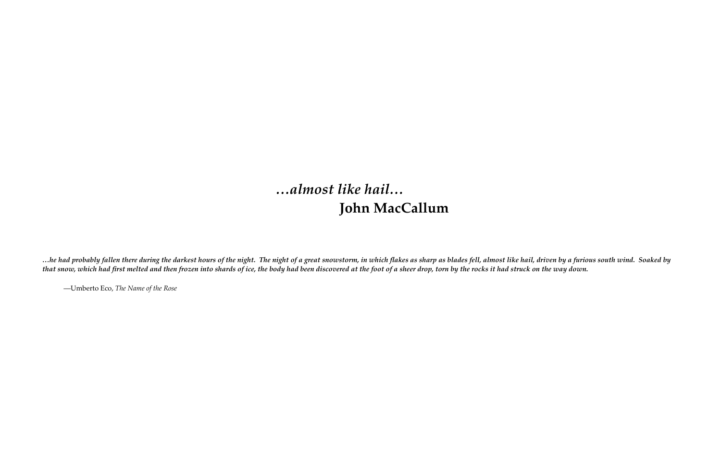# **!!!!!!!!!!** *…almost like hail…* **!!!!!!!!!!!!!! John MacCallum**

*…he had probably fallen there during the darkest hours of the night. The night of a great snowstorm, in which flakes as sharp as blades fell, almost like hail, driven by a furious south wind. Soaked by that snow, which had first melted and then frozen into shards of ice, the body had been discovered at the foot of a sheer drop, torn by the rocks it had struck on the way down.*

—Umberto Eco, *The Name of the Rose*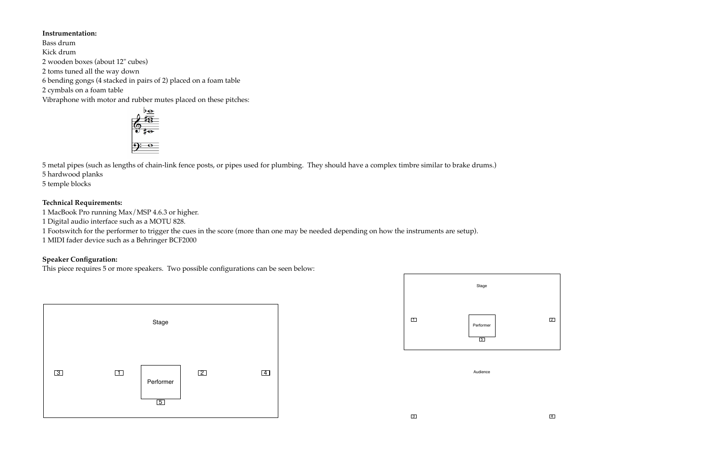#### **Instrumentation:**

Bass drum Kick drum 2 wooden boxes (about 12" cubes) 2 toms tuned all the way down 6 bending gongs (4 stacked in pairs of 2) placed on a foam table 2 cymbals on a foam table Vibraphone with motor and rubber mutes placed on these pitches:

5 metal pipes (such as lengths of chain-link fence posts, or pipes used for plumbing. They should have a complex timbre similar to brake drums.) 5 hardwood planks

5 temple blocks

## **Technical Requirements:**

1 MacBook Pro running Max/MSP 4.6.3 or higher.

1 Digital audio interface such as a MOTU 828.

1 Footswitch for the performer to trigger the cues in the score (more than one may be needed depending on how the instruments are setup).

1 MIDI fader device such as a Behringer BCF2000

## **Speaker Configuration:**

This piece requires 5 or more speakers. Two possible configurations can be seen below:





Audience



 $\overline{3}$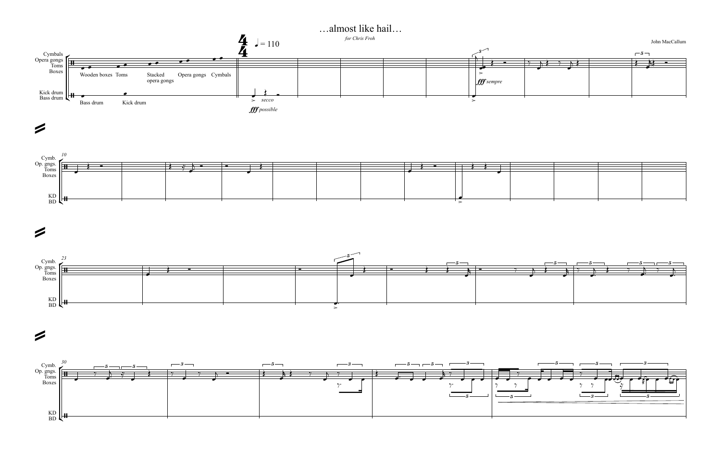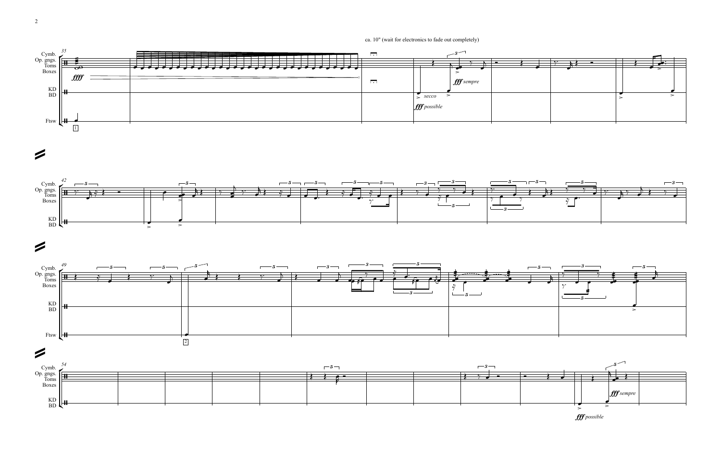ca. 10" (wait for electronics to fade out completely)







 $\overline{\phantom{a}}$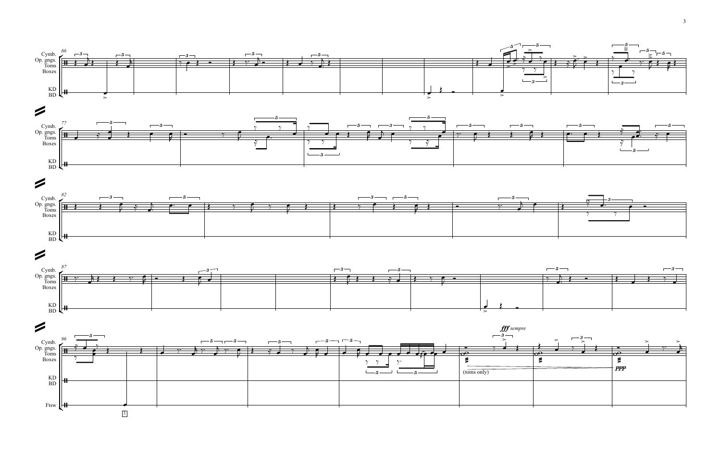

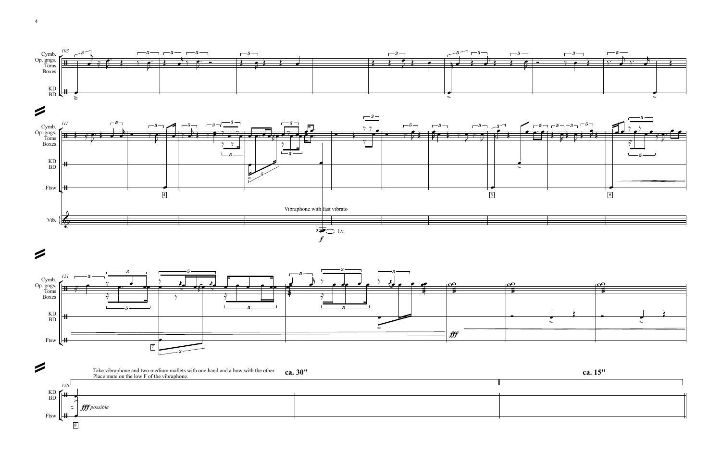





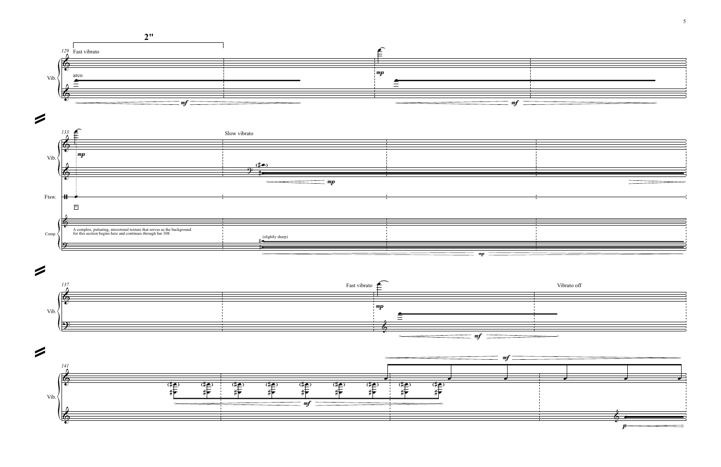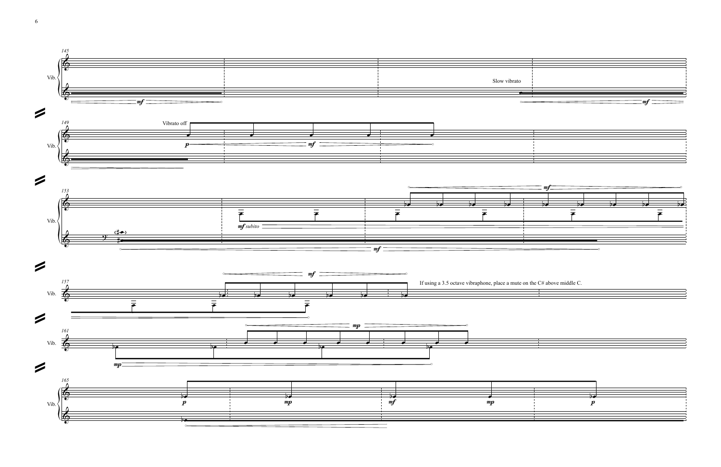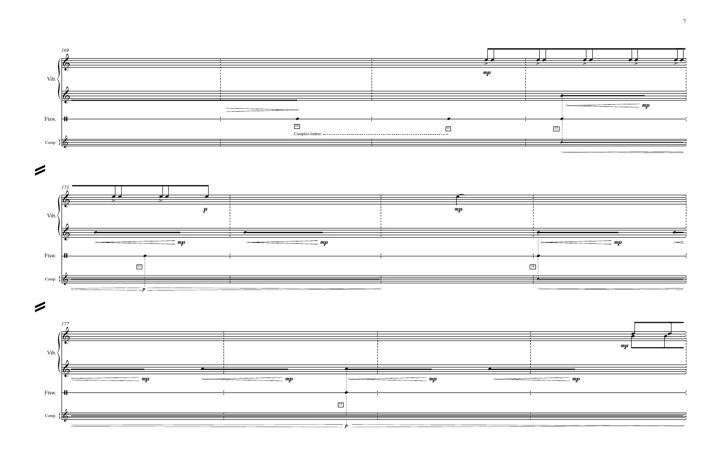



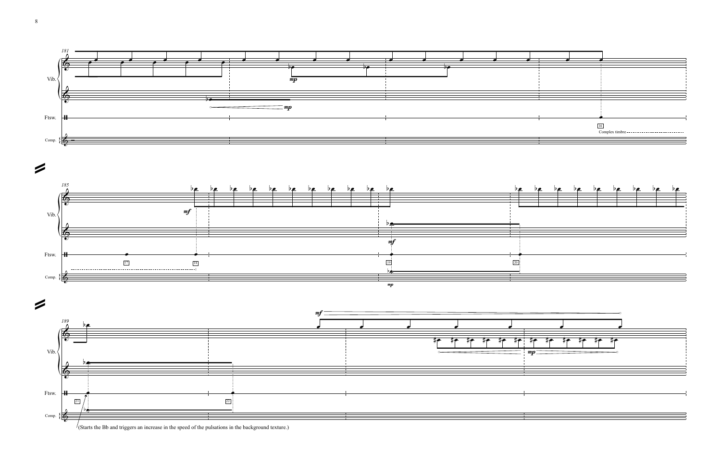





 $\sqrt{\text{(Starts the Bb and triggers an increase in the speed of the pulsations in the background texture.)}}$ 

 $\rightarrow$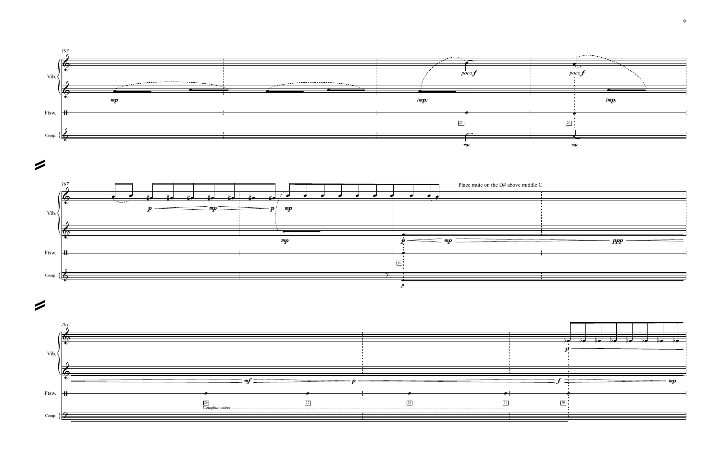



 $\overline{\phantom{a}}$ 

 $\overline{\phantom{a}}$ 

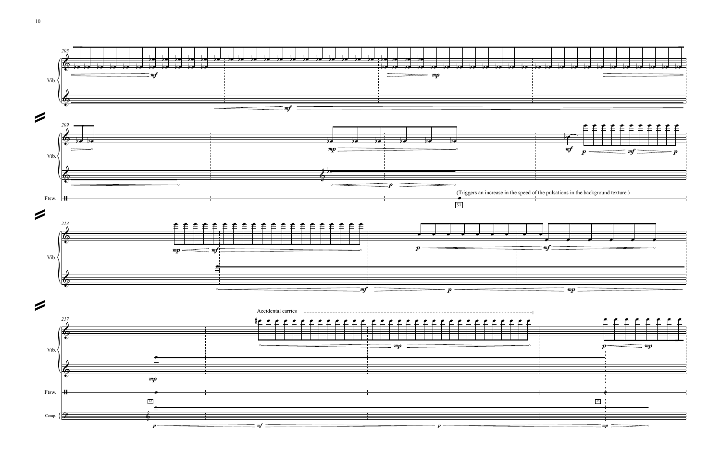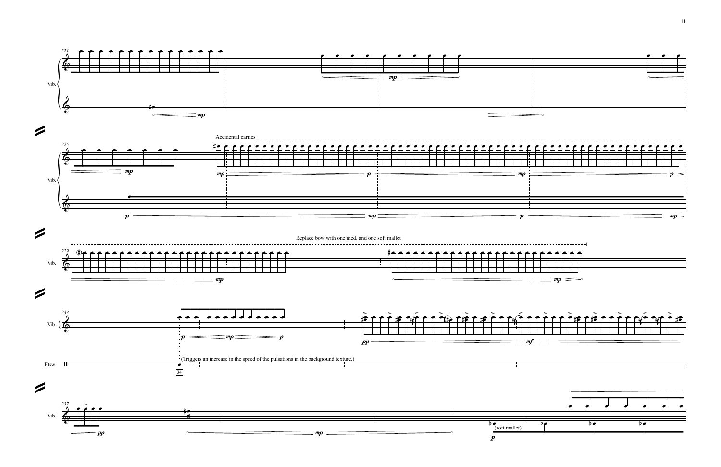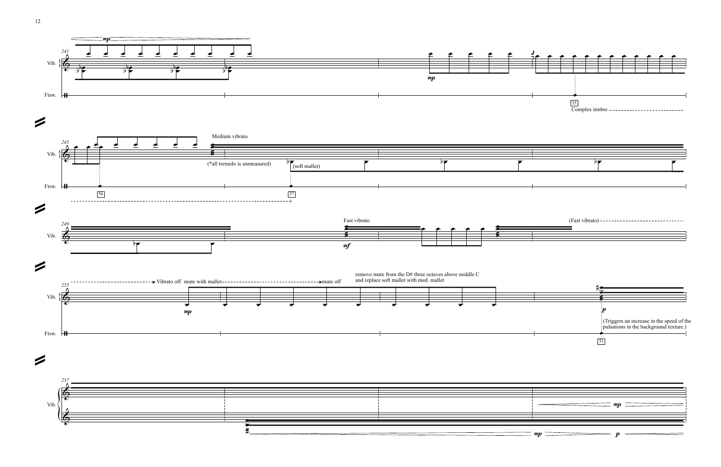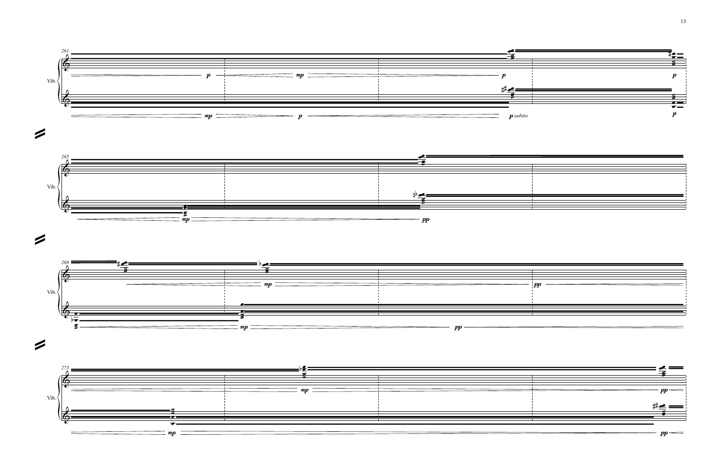



| $\boldsymbol{p}$ |  |  |  |
|------------------|--|--|--|
|                  |  |  |  |
|                  |  |  |  |
|                  |  |  |  |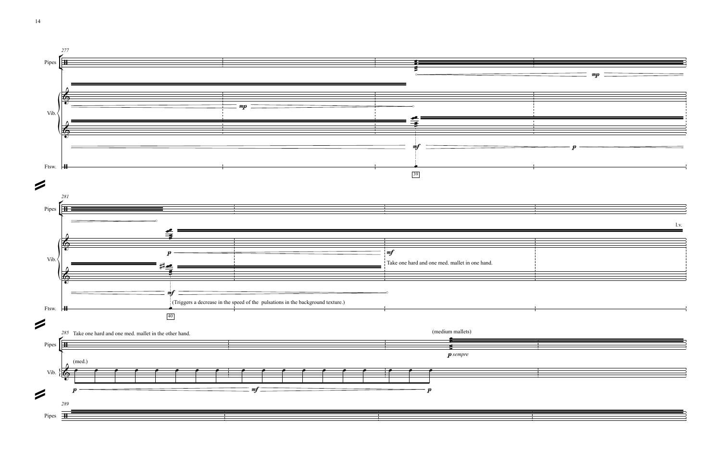| $\mathbf{m}$     |
|------------------|
|                  |
|                  |
|                  |
|                  |
|                  |
|                  |
|                  |
|                  |
|                  |
|                  |
|                  |
|                  |
|                  |
|                  |
| $\boldsymbol{p}$ |
|                  |
|                  |
|                  |
|                  |
|                  |
|                  |
|                  |
|                  |
|                  |
|                  |
|                  |
|                  |
|                  |
|                  |
|                  |
| $1_v$ .          |
|                  |
|                  |
|                  |
|                  |
|                  |
|                  |
|                  |
|                  |
|                  |
|                  |
|                  |
|                  |
|                  |
|                  |
|                  |
|                  |
|                  |
|                  |
|                  |
|                  |
|                  |
|                  |
|                  |
|                  |
|                  |
|                  |
|                  |
|                  |
|                  |
|                  |
|                  |
|                  |
|                  |
|                  |
|                  |
|                  |
|                  |

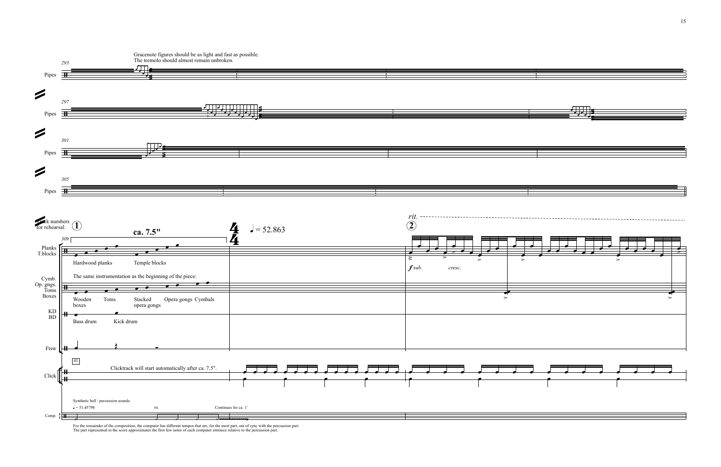

For the remainder of the composition, the computer has different tempos that are, for the most part, out of sync with the percussion part.<br>The part represented in the score approximates the first few notes of each computer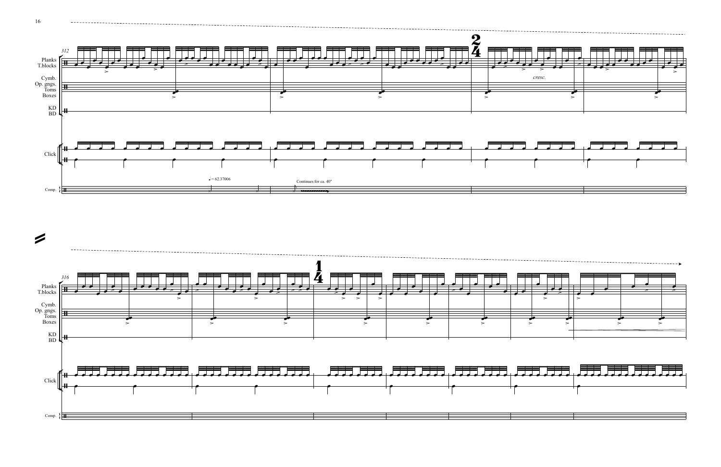

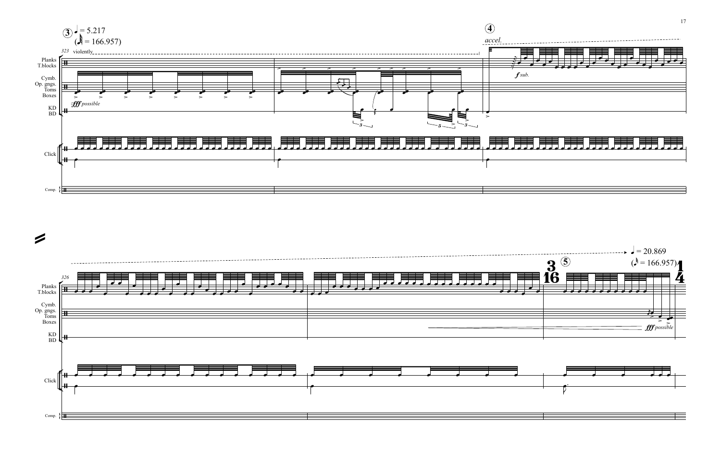

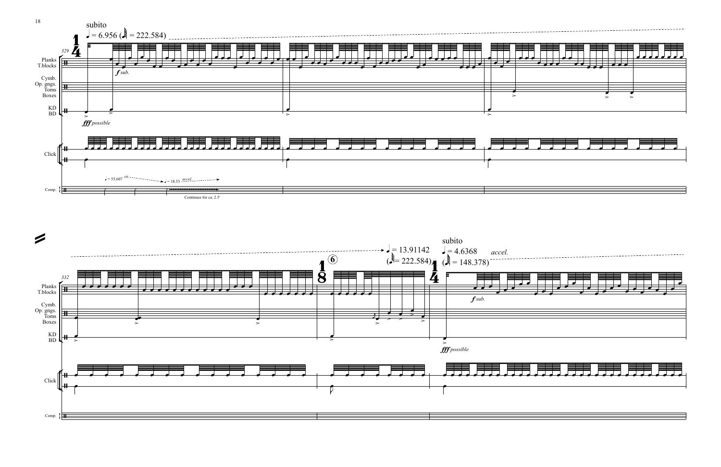



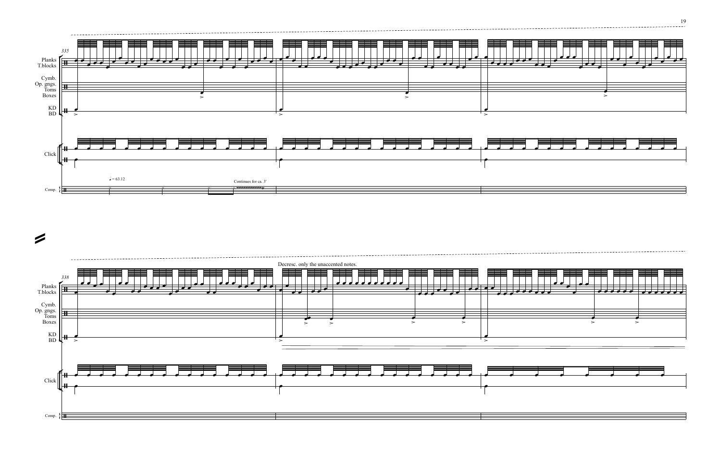



 $\rightarrow$ 

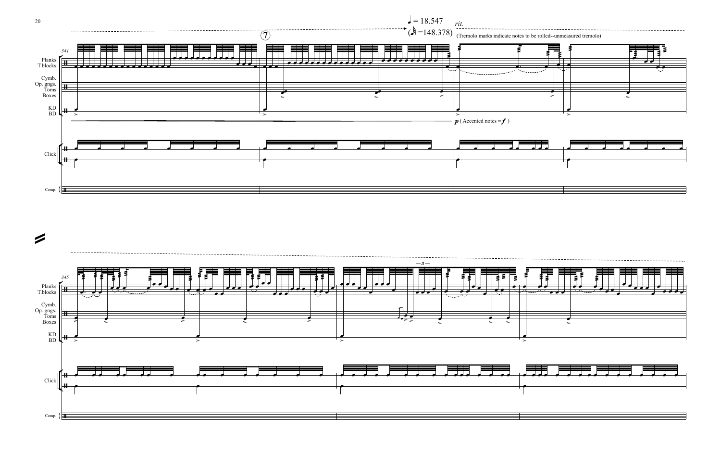

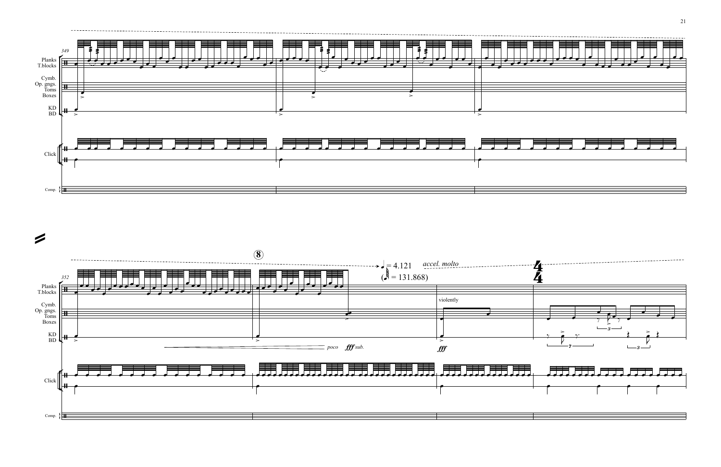

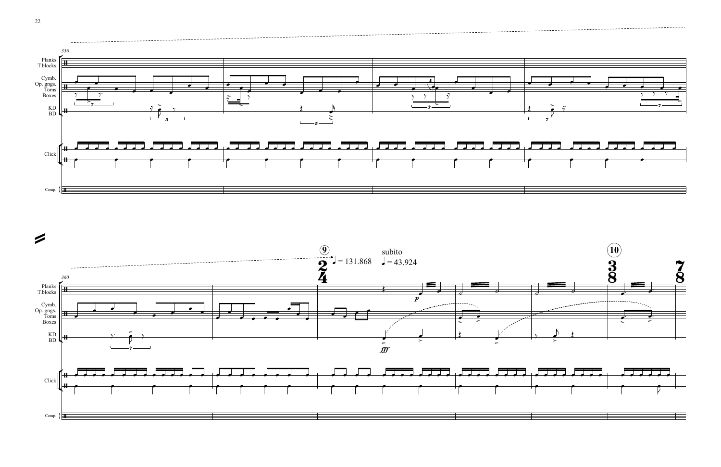